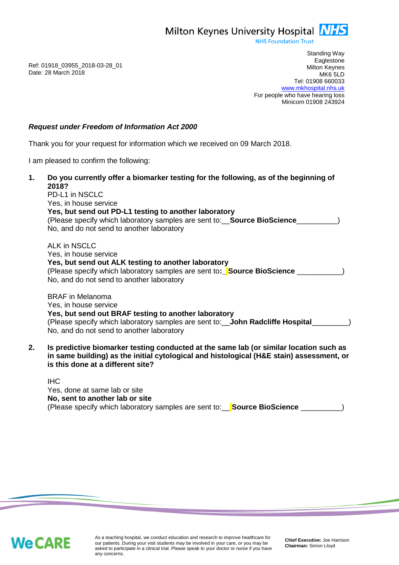Milton Keynes University Hospital **NHS** 

**NHS Foundation Trust** 

Ref: 01918\_03955\_2018-03-28\_01 Date: 28 March 2018

Standing Way **Eaglestone** Milton Keynes MK6 5LD Tel: 01908 660033 [www.mkhospital.nhs.uk](http://www.mkhospital.nhs.uk/) For people who have hearing loss Minicom 01908 243924

## *Request under Freedom of Information Act 2000*

Thank you for your request for information which we received on 09 March 2018.

I am pleased to confirm the following:

**1. Do you currently offer a biomarker testing for the following, as of the beginning of 2018?**  PD-L1 in NSCLC Yes, in house service **Yes, but send out PD-L1 testing to another laboratory** (Please specify which laboratory samples are sent to:\_\_**Source BioScience**\_\_\_\_\_\_\_\_\_\_) No, and do not send to another laboratory ALK in NSCLC Yes, in house service **Yes, but send out ALK testing to another laboratory** (Please specify which laboratory samples are sent to**:\_ Source BioScience** \_\_\_\_\_\_\_\_\_\_\_) No, and do not send to another laboratory BRAF in Melanoma

Yes, in house service **Yes, but send out BRAF testing to another laboratory** (Please specify which laboratory samples are sent to:\_\_**John Radcliffe Hospital**\_\_\_\_\_\_\_\_\_) No, and do not send to another laboratory

**2. Is predictive biomarker testing conducted at the same lab (or similar location such as in same building) as the initial cytological and histological (H&E stain) assessment, or is this done at a different site?**

IHC Yes, done at same lab or site **No, sent to another lab or site**  (Please specify which laboratory samples are sent to:\_\_ **Source BioScience** \_\_\_\_\_\_\_\_\_\_)

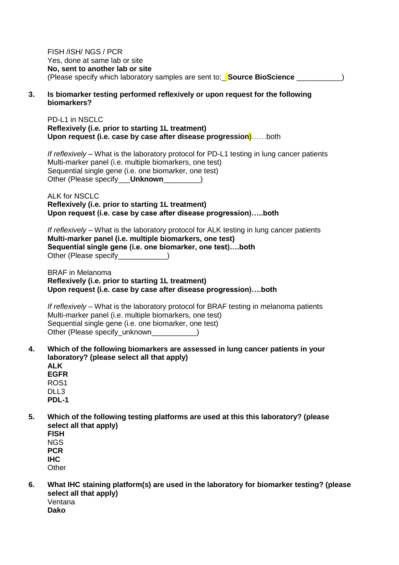FISH /ISH/ NGS / PCR Yes, done at same lab or site **No, sent to another lab or site**  (Please specify which laboratory samples are sent to:\_ **Source BioScience** \_\_\_\_\_\_\_\_\_\_\_)

**3. Is biomarker testing performed reflexively or upon request for the following biomarkers?** 

PD-L1 in NSCLC **Reflexively (i.e. prior to starting 1L treatment) Upon request (i.e. case by case after disease progression**)……both

*If reflexively* – What is the laboratory protocol for PD-L1 testing in lung cancer patients Multi-marker panel (i.e. multiple biomarkers, one test) Sequential single gene (i.e. one biomarker, one test) Other (Please specify\_\_\_**Unknown**\_\_\_\_\_\_\_\_\_)

ALK for NSCLC **Reflexively (i.e. prior to starting 1L treatment) Upon request (i.e. case by case after disease progression)…..both**

*If reflexively* – What is the laboratory protocol for ALK testing in lung cancer patients **Multi-marker panel (i.e. multiple biomarkers, one test) Sequential single gene (i.e. one biomarker, one test)….both** Other (Please specify example of the  $\sim$ 

BRAF in Melanoma **Reflexively (i.e. prior to starting 1L treatment) Upon request (i.e. case by case after disease progression)….both**

*If reflexively* – What is the laboratory protocol for BRAF testing in melanoma patients Multi-marker panel (i.e. multiple biomarkers, one test) Sequential single gene (i.e. one biomarker, one test) Other (Please specify\_unknown\_\_\_\_\_\_\_\_\_\_)

**4. Which of the following biomarkers are assessed in lung cancer patients in your laboratory? (please select all that apply) ALK EGFR**

ROS1 DLL<sub>3</sub> **PDL-1**

**5. Which of the following testing platforms are used at this this laboratory? (please select all that apply)**

**FISH** NGS **PCR IHC Other** 

**6. What IHC staining platform(s) are used in the laboratory for biomarker testing? (please select all that apply)** Ventana **Dako**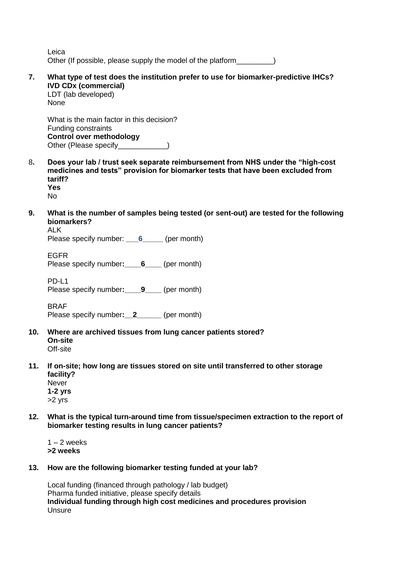Leica Other (If possible, please supply the model of the platform\_\_\_\_\_\_\_\_\_)

**7. What type of test does the institution prefer to use for biomarker-predictive IHCs? IVD CDx (commercial)**

LDT (lab developed) None

What is the main factor in this decision? Funding constraints **Control over methodology** Other (Please specify entitled)

8**. Does your lab / trust seek separate reimbursement from NHS under the "high-cost medicines and tests" provision for biomarker tests that have been excluded from tariff? Yes** 

No

**9. What is the number of samples being tested (or sent-out) are tested for the following biomarkers?** 

ALK

Please specify number: **6** (per month)

EGFR Please specify number**:\_\_\_\_6\_\_\_\_** (per month)

PD-L<sub>1</sub> Please specify number: 9 (per month)

**BRAF** 

Please specify number: 2 (per month)

**10. Where are archived tissues from lung cancer patients stored?** 

**On-site** Off-site

**11. If on-site; how long are tissues stored on site until transferred to other storage facility?**

Never **1-2 yrs** >2 yrs

**12. What is the typical turn-around time from tissue/specimen extraction to the report of biomarker testing results in lung cancer patients?**

 $1 - 2$  weeks **>2 weeks**

**13. How are the following biomarker testing funded at your lab?** 

Local funding (financed through pathology / lab budget) Pharma funded initiative, please specify details **Individual funding through high cost medicines and procedures provision**  Unsure